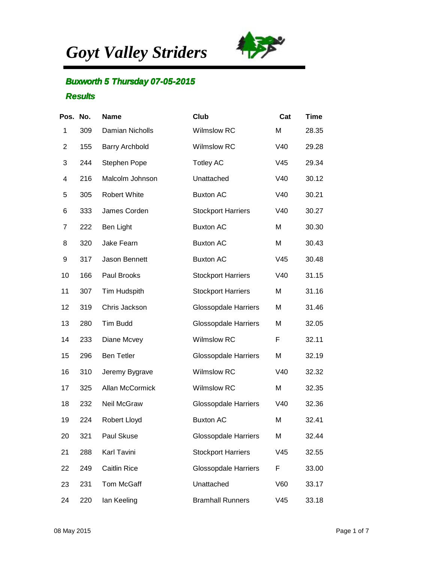*Goyt Valley Striders*



## **Buxworth 5 Thursday 07-05-2015 Results**

| Pos. No. |     | <b>Name</b>           | Club                        | Cat | <b>Time</b> |
|----------|-----|-----------------------|-----------------------------|-----|-------------|
| 1        | 309 | Damian Nicholls       | <b>Wilmslow RC</b>          | M   | 28.35       |
| 2        | 155 | <b>Barry Archbold</b> | <b>Wilmslow RC</b>          | V40 | 29.28       |
| 3        | 244 | Stephen Pope          | <b>Totley AC</b>            | V45 | 29.34       |
| 4        | 216 | Malcolm Johnson       | Unattached                  | V40 | 30.12       |
| 5        | 305 | Robert White          | <b>Buxton AC</b>            | V40 | 30.21       |
| 6        | 333 | James Corden          | <b>Stockport Harriers</b>   | V40 | 30.27       |
| 7        | 222 | Ben Light             | <b>Buxton AC</b>            | M   | 30.30       |
| 8        | 320 | Jake Fearn            | <b>Buxton AC</b>            | M   | 30.43       |
| 9        | 317 | Jason Bennett         | <b>Buxton AC</b>            | V45 | 30.48       |
| 10       | 166 | Paul Brooks           | <b>Stockport Harriers</b>   | V40 | 31.15       |
| 11       | 307 | Tim Hudspith          | <b>Stockport Harriers</b>   | M   | 31.16       |
| 12       | 319 | Chris Jackson         | <b>Glossopdale Harriers</b> | M   | 31.46       |
| 13       | 280 | <b>Tim Budd</b>       | <b>Glossopdale Harriers</b> | M   | 32.05       |
| 14       | 233 | Diane Mcvey           | <b>Wilmslow RC</b>          | F   | 32.11       |
| 15       | 296 | <b>Ben Tetler</b>     | <b>Glossopdale Harriers</b> | M   | 32.19       |
| 16       | 310 | Jeremy Bygrave        | <b>Wilmslow RC</b>          | V40 | 32.32       |
| 17       | 325 | Allan McCormick       | <b>Wilmslow RC</b>          | M   | 32.35       |
| 18       | 232 | Neil McGraw           | <b>Glossopdale Harriers</b> | V40 | 32.36       |
| 19       | 224 | Robert Lloyd          | <b>Buxton AC</b>            | M   | 32.41       |
| 20       | 321 | Paul Skuse            | <b>Glossopdale Harriers</b> | M   | 32.44       |
| 21       | 288 | Karl Tavini           | <b>Stockport Harriers</b>   | V45 | 32.55       |
| 22       | 249 | <b>Caitlin Rice</b>   | <b>Glossopdale Harriers</b> | F   | 33.00       |
| 23       | 231 | Tom McGaff            | Unattached                  | V60 | 33.17       |
| 24       | 220 | lan Keeling           | <b>Bramhall Runners</b>     | V45 | 33.18       |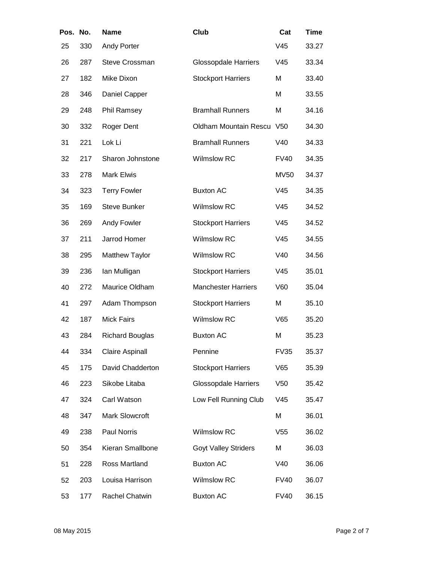| Pos. No. |     | <b>Name</b>            | Club                        | Cat             | <b>Time</b> |
|----------|-----|------------------------|-----------------------------|-----------------|-------------|
| 25       | 330 | Andy Porter            |                             | V45             | 33.27       |
| 26       | 287 | <b>Steve Crossman</b>  | <b>Glossopdale Harriers</b> | V45             | 33.34       |
| 27       | 182 | Mike Dixon             | <b>Stockport Harriers</b>   | M               | 33.40       |
| 28       | 346 | Daniel Capper          |                             | M               | 33.55       |
| 29       | 248 | Phil Ramsey            | <b>Bramhall Runners</b>     | M               | 34.16       |
| 30       | 332 | Roger Dent             | Oldham Mountain Rescu V50   |                 | 34.30       |
| 31       | 221 | Lok Li                 | <b>Bramhall Runners</b>     | V40             | 34.33       |
| 32       | 217 | Sharon Johnstone       | <b>Wilmslow RC</b>          | <b>FV40</b>     | 34.35       |
| 33       | 278 | <b>Mark Elwis</b>      |                             | <b>MV50</b>     | 34.37       |
| 34       | 323 | <b>Terry Fowler</b>    | <b>Buxton AC</b>            | V45             | 34.35       |
| 35       | 169 | <b>Steve Bunker</b>    | <b>Wilmslow RC</b>          | V45             | 34.52       |
| 36       | 269 | Andy Fowler            | <b>Stockport Harriers</b>   | V45             | 34.52       |
| 37       | 211 | Jarrod Homer           | <b>Wilmslow RC</b>          | V45             | 34.55       |
| 38       | 295 | <b>Matthew Taylor</b>  | <b>Wilmslow RC</b>          | V40             | 34.56       |
| 39       | 236 | lan Mulligan           | <b>Stockport Harriers</b>   | V45             | 35.01       |
| 40       | 272 | Maurice Oldham         | <b>Manchester Harriers</b>  | V60             | 35.04       |
| 41       | 297 | Adam Thompson          | <b>Stockport Harriers</b>   | М               | 35.10       |
| 42       | 187 | <b>Mick Fairs</b>      | <b>Wilmslow RC</b>          | V65             | 35.20       |
| 43       | 284 | <b>Richard Bouglas</b> | <b>Buxton AC</b>            | M               | 35.23       |
| 44       | 334 | <b>Claire Aspinall</b> | Pennine                     | <b>FV35</b>     | 35.37       |
| 45       | 175 | David Chadderton       | <b>Stockport Harriers</b>   | V65             | 35.39       |
| 46       | 223 | Sikobe Litaba          | <b>Glossopdale Harriers</b> | V <sub>50</sub> | 35.42       |
| 47       | 324 | Carl Watson            | Low Fell Running Club       | V45             | 35.47       |
| 48       | 347 | Mark Slowcroft         |                             | M               | 36.01       |
| 49       | 238 | Paul Norris            | <b>Wilmslow RC</b>          | V <sub>55</sub> | 36.02       |
| 50       | 354 | Kieran Smallbone       | <b>Goyt Valley Striders</b> | M               | 36.03       |
| 51       | 228 | Ross Martland          | <b>Buxton AC</b>            | V40             | 36.06       |
| 52       | 203 | Louisa Harrison        | Wilmslow RC                 | <b>FV40</b>     | 36.07       |
| 53       | 177 | Rachel Chatwin         | <b>Buxton AC</b>            | <b>FV40</b>     | 36.15       |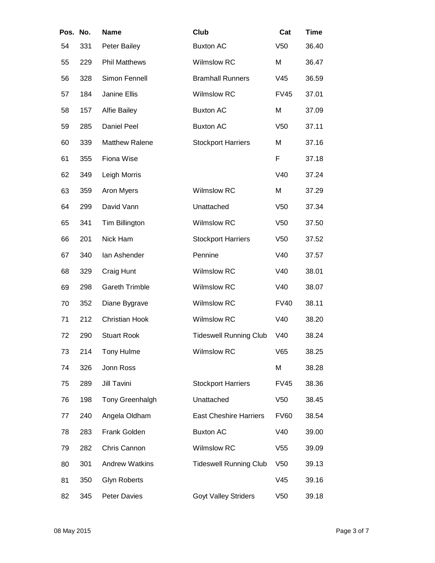| Pos. No. |     | <b>Name</b>           | Club                          | Cat             | <b>Time</b> |
|----------|-----|-----------------------|-------------------------------|-----------------|-------------|
| 54       | 331 | Peter Bailey          | <b>Buxton AC</b>              | V <sub>50</sub> | 36.40       |
| 55       | 229 | <b>Phil Matthews</b>  | Wilmslow RC                   | M               | 36.47       |
| 56       | 328 | Simon Fennell         | <b>Bramhall Runners</b>       | V45             | 36.59       |
| 57       | 184 | Janine Ellis          | <b>Wilmslow RC</b>            | <b>FV45</b>     | 37.01       |
| 58       | 157 | <b>Alfie Bailey</b>   | <b>Buxton AC</b>              | M               | 37.09       |
| 59       | 285 | <b>Daniel Peel</b>    | <b>Buxton AC</b>              | V <sub>50</sub> | 37.11       |
| 60       | 339 | <b>Matthew Ralene</b> | <b>Stockport Harriers</b>     | M               | 37.16       |
| 61       | 355 | Fiona Wise            |                               | F               | 37.18       |
| 62       | 349 | Leigh Morris          |                               | V40             | 37.24       |
| 63       | 359 | Aron Myers            | <b>Wilmslow RC</b>            | M               | 37.29       |
| 64       | 299 | David Vann            | Unattached                    | V <sub>50</sub> | 37.34       |
| 65       | 341 | Tim Billington        | <b>Wilmslow RC</b>            | V <sub>50</sub> | 37.50       |
| 66       | 201 | Nick Ham              | <b>Stockport Harriers</b>     | V <sub>50</sub> | 37.52       |
| 67       | 340 | lan Ashender          | Pennine                       | V40             | 37.57       |
| 68       | 329 | Craig Hunt            | <b>Wilmslow RC</b>            | V40             | 38.01       |
| 69       | 298 | <b>Gareth Trimble</b> | <b>Wilmslow RC</b>            | V40             | 38.07       |
| 70       | 352 | Diane Bygrave         | Wilmslow RC                   | <b>FV40</b>     | 38.11       |
| 71       | 212 | <b>Christian Hook</b> | <b>Wilmslow RC</b>            | V40             | 38.20       |
| 72       | 290 | <b>Stuart Rook</b>    | <b>Tideswell Running Club</b> | V40             | 38.24       |
| 73       | 214 | Tony Hulme            | <b>Wilmslow RC</b>            | V65             | 38.25       |
| 74       | 326 | Jonn Ross             |                               | M               | 38.28       |
| 75       | 289 | <b>Jill Tavini</b>    | <b>Stockport Harriers</b>     | <b>FV45</b>     | 38.36       |
| 76       | 198 | Tony Greenhalgh       | Unattached                    | V <sub>50</sub> | 38.45       |
| 77       | 240 | Angela Oldham         | <b>East Cheshire Harriers</b> | <b>FV60</b>     | 38.54       |
| 78       | 283 | Frank Golden          | <b>Buxton AC</b>              | V40             | 39.00       |
| 79       | 282 | Chris Cannon          | Wilmslow RC                   | V <sub>55</sub> | 39.09       |
| 80       | 301 | <b>Andrew Watkins</b> | <b>Tideswell Running Club</b> | V <sub>50</sub> | 39.13       |
| 81       | 350 | <b>Glyn Roberts</b>   |                               | V45             | 39.16       |
| 82       | 345 | <b>Peter Davies</b>   | <b>Goyt Valley Striders</b>   | V50             | 39.18       |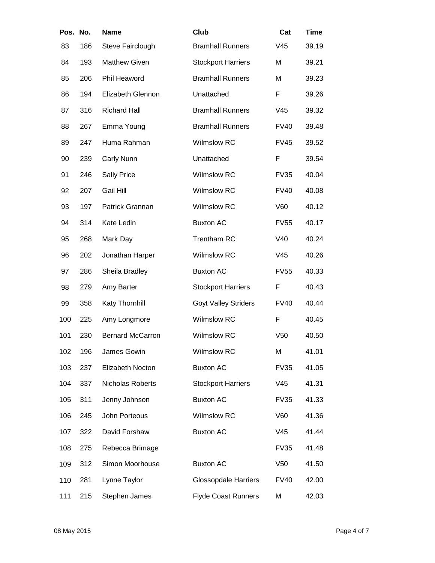| Pos. No. |     | <b>Name</b>             | Club                        | Cat             | <b>Time</b> |
|----------|-----|-------------------------|-----------------------------|-----------------|-------------|
| 83       | 186 | Steve Fairclough        | <b>Bramhall Runners</b>     | V45             | 39.19       |
| 84       | 193 | <b>Matthew Given</b>    | <b>Stockport Harriers</b>   | M               | 39.21       |
| 85       | 206 | Phil Heaword            | <b>Bramhall Runners</b>     | M               | 39.23       |
| 86       | 194 | Elizabeth Glennon       | Unattached                  | F               | 39.26       |
| 87       | 316 | <b>Richard Hall</b>     | <b>Bramhall Runners</b>     | V45             | 39.32       |
| 88       | 267 | Emma Young              | <b>Bramhall Runners</b>     | <b>FV40</b>     | 39.48       |
| 89       | 247 | Huma Rahman             | <b>Wilmslow RC</b>          | <b>FV45</b>     | 39.52       |
| 90       | 239 | Carly Nunn              | Unattached                  | F               | 39.54       |
| 91       | 246 | <b>Sally Price</b>      | <b>Wilmslow RC</b>          | <b>FV35</b>     | 40.04       |
| 92       | 207 | <b>Gail Hill</b>        | <b>Wilmslow RC</b>          | <b>FV40</b>     | 40.08       |
| 93       | 197 | Patrick Grannan         | <b>Wilmslow RC</b>          | V60             | 40.12       |
| 94       | 314 | Kate Ledin              | <b>Buxton AC</b>            | <b>FV55</b>     | 40.17       |
| 95       | 268 | Mark Day                | <b>Trentham RC</b>          | V40             | 40.24       |
| 96       | 202 | Jonathan Harper         | <b>Wilmslow RC</b>          | V45             | 40.26       |
| 97       | 286 | Sheila Bradley          | <b>Buxton AC</b>            | <b>FV55</b>     | 40.33       |
| 98       | 279 | Amy Barter              | <b>Stockport Harriers</b>   | F               | 40.43       |
| 99       | 358 | Katy Thornhill          | <b>Goyt Valley Striders</b> | <b>FV40</b>     | 40.44       |
| 100      | 225 | Amy Longmore            | <b>Wilmslow RC</b>          | F               | 40.45       |
| 101      | 230 | <b>Bernard McCarron</b> | <b>Wilmslow RC</b>          | V <sub>50</sub> | 40.50       |
| 102      | 196 | James Gowin             | <b>Wilmslow RC</b>          | M               | 41.01       |
| 103      | 237 | Elizabeth Nocton        | <b>Buxton AC</b>            | <b>FV35</b>     | 41.05       |
| 104      | 337 | Nicholas Roberts        | <b>Stockport Harriers</b>   | V45             | 41.31       |
| 105      | 311 | Jenny Johnson           | <b>Buxton AC</b>            | <b>FV35</b>     | 41.33       |
| 106      | 245 | John Porteous           | <b>Wilmslow RC</b>          | V60             | 41.36       |
| 107      | 322 | David Forshaw           | <b>Buxton AC</b>            | V45             | 41.44       |
| 108      | 275 | Rebecca Brimage         |                             | <b>FV35</b>     | 41.48       |
| 109      | 312 | Simon Moorhouse         | <b>Buxton AC</b>            | V <sub>50</sub> | 41.50       |
| 110      | 281 | Lynne Taylor            | <b>Glossopdale Harriers</b> | <b>FV40</b>     | 42.00       |
| 111      | 215 | Stephen James           | <b>Flyde Coast Runners</b>  | M               | 42.03       |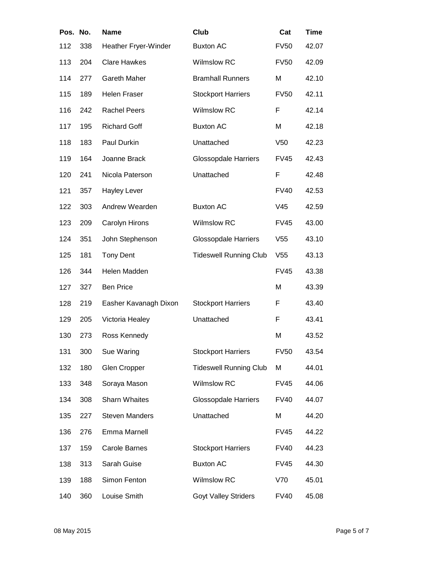| Pos. No. |     | <b>Name</b>           | Club                          | Cat             | <b>Time</b> |
|----------|-----|-----------------------|-------------------------------|-----------------|-------------|
| 112      | 338 | Heather Fryer-Winder  | <b>Buxton AC</b>              | <b>FV50</b>     | 42.07       |
| 113      | 204 | <b>Clare Hawkes</b>   | <b>Wilmslow RC</b>            | <b>FV50</b>     | 42.09       |
| 114      | 277 | Gareth Maher          | <b>Bramhall Runners</b>       | M               | 42.10       |
| 115      | 189 | <b>Helen Fraser</b>   | <b>Stockport Harriers</b>     | <b>FV50</b>     | 42.11       |
| 116      | 242 | <b>Rachel Peers</b>   | <b>Wilmslow RC</b>            | F               | 42.14       |
| 117      | 195 | <b>Richard Goff</b>   | <b>Buxton AC</b>              | M               | 42.18       |
| 118      | 183 | Paul Durkin           | Unattached                    | V <sub>50</sub> | 42.23       |
| 119      | 164 | Joanne Brack          | <b>Glossopdale Harriers</b>   | <b>FV45</b>     | 42.43       |
| 120      | 241 | Nicola Paterson       | Unattached                    | F               | 42.48       |
| 121      | 357 | Hayley Lever          |                               | <b>FV40</b>     | 42.53       |
| 122      | 303 | Andrew Wearden        | <b>Buxton AC</b>              | V <sub>45</sub> | 42.59       |
| 123      | 209 | Carolyn Hirons        | <b>Wilmslow RC</b>            | <b>FV45</b>     | 43.00       |
| 124      | 351 | John Stephenson       | <b>Glossopdale Harriers</b>   | V <sub>55</sub> | 43.10       |
| 125      | 181 | <b>Tony Dent</b>      | <b>Tideswell Running Club</b> | V <sub>55</sub> | 43.13       |
| 126      | 344 | Helen Madden          |                               | <b>FV45</b>     | 43.38       |
| 127      | 327 | <b>Ben Price</b>      |                               | M               | 43.39       |
| 128      | 219 | Easher Kavanagh Dixon | <b>Stockport Harriers</b>     | F               | 43.40       |
| 129      | 205 | Victoria Healey       | Unattached                    | F               | 43.41       |
| 130      | 273 | Ross Kennedy          |                               | M               | 43.52       |
| 131      | 300 | Sue Waring            | <b>Stockport Harriers</b>     | <b>FV50</b>     | 43.54       |
| 132      | 180 | <b>Glen Cropper</b>   | <b>Tideswell Running Club</b> | M               | 44.01       |
| 133      | 348 | Soraya Mason          | Wilmslow RC                   | <b>FV45</b>     | 44.06       |
| 134      | 308 | <b>Sharn Whaites</b>  | <b>Glossopdale Harriers</b>   | FV40            | 44.07       |
| 135      | 227 | <b>Steven Manders</b> | Unattached                    | M               | 44.20       |
| 136      | 276 | Emma Marnell          |                               | <b>FV45</b>     | 44.22       |
| 137      | 159 | <b>Carole Barnes</b>  | <b>Stockport Harriers</b>     | <b>FV40</b>     | 44.23       |
| 138      | 313 | Sarah Guise           | <b>Buxton AC</b>              | <b>FV45</b>     | 44.30       |
| 139      | 188 | Simon Fenton          | Wilmslow RC                   | V70             | 45.01       |
| 140      | 360 | Louise Smith          | <b>Goyt Valley Striders</b>   | <b>FV40</b>     | 45.08       |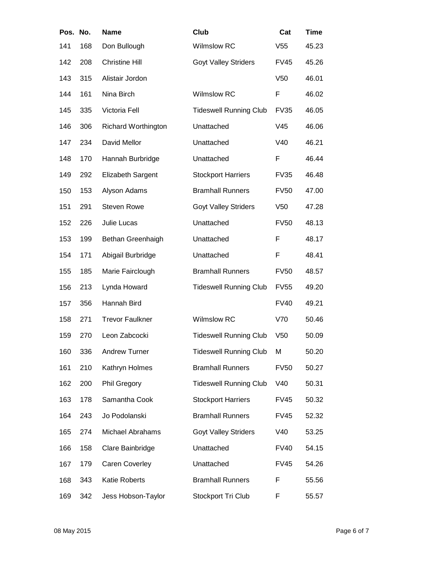| Pos. No. |     | <b>Name</b>                | Club                          | Cat             | <b>Time</b> |
|----------|-----|----------------------------|-------------------------------|-----------------|-------------|
| 141      | 168 | Don Bullough               | <b>Wilmslow RC</b>            | V <sub>55</sub> | 45.23       |
| 142      | 208 | <b>Christine Hill</b>      | <b>Goyt Valley Striders</b>   | FV45            | 45.26       |
| 143      | 315 | Alistair Jordon            |                               | V <sub>50</sub> | 46.01       |
| 144      | 161 | Nina Birch                 | <b>Wilmslow RC</b>            | F               | 46.02       |
| 145      | 335 | Victoria Fell              | <b>Tideswell Running Club</b> | <b>FV35</b>     | 46.05       |
| 146      | 306 | <b>Richard Worthington</b> | Unattached                    | V <sub>45</sub> | 46.06       |
| 147      | 234 | David Mellor               | Unattached                    | V40             | 46.21       |
| 148      | 170 | Hannah Burbridge           | Unattached                    | F               | 46.44       |
| 149      | 292 | Elizabeth Sargent          | <b>Stockport Harriers</b>     | <b>FV35</b>     | 46.48       |
| 150      | 153 | Alyson Adams               | <b>Bramhall Runners</b>       | <b>FV50</b>     | 47.00       |
| 151      | 291 | <b>Steven Rowe</b>         | <b>Goyt Valley Striders</b>   | V <sub>50</sub> | 47.28       |
| 152      | 226 | Julie Lucas                | Unattached                    | <b>FV50</b>     | 48.13       |
| 153      | 199 | Bethan Greenhaigh          | Unattached                    | F               | 48.17       |
| 154      | 171 | Abigail Burbridge          | Unattached                    | F               | 48.41       |
| 155      | 185 | Marie Fairclough           | <b>Bramhall Runners</b>       | <b>FV50</b>     | 48.57       |
| 156      | 213 | Lynda Howard               | <b>Tideswell Running Club</b> | <b>FV55</b>     | 49.20       |
| 157      | 356 | Hannah Bird                |                               | <b>FV40</b>     | 49.21       |
| 158      | 271 | <b>Trevor Faulkner</b>     | <b>Wilmslow RC</b>            | V70             | 50.46       |
| 159      | 270 | Leon Zabcocki              | <b>Tideswell Running Club</b> | V <sub>50</sub> | 50.09       |
| 160      | 336 | <b>Andrew Turner</b>       | <b>Tideswell Running Club</b> | M               | 50.20       |
| 161      | 210 | Kathryn Holmes             | <b>Bramhall Runners</b>       | <b>FV50</b>     | 50.27       |
| 162      | 200 | Phil Gregory               | <b>Tideswell Running Club</b> | V40             | 50.31       |
| 163      | 178 | Samantha Cook              | <b>Stockport Harriers</b>     | FV45            | 50.32       |
| 164      | 243 | Jo Podolanski              | <b>Bramhall Runners</b>       | <b>FV45</b>     | 52.32       |
| 165      | 274 | <b>Michael Abrahams</b>    | <b>Goyt Valley Striders</b>   | V40             | 53.25       |
| 166      | 158 | Clare Bainbridge           | Unattached                    | <b>FV40</b>     | 54.15       |
| 167      | 179 | <b>Caren Coverley</b>      | Unattached                    | FV45            | 54.26       |
| 168      | 343 | Katie Roberts              | <b>Bramhall Runners</b>       | F               | 55.56       |
| 169      | 342 | Jess Hobson-Taylor         | Stockport Tri Club            | F               | 55.57       |